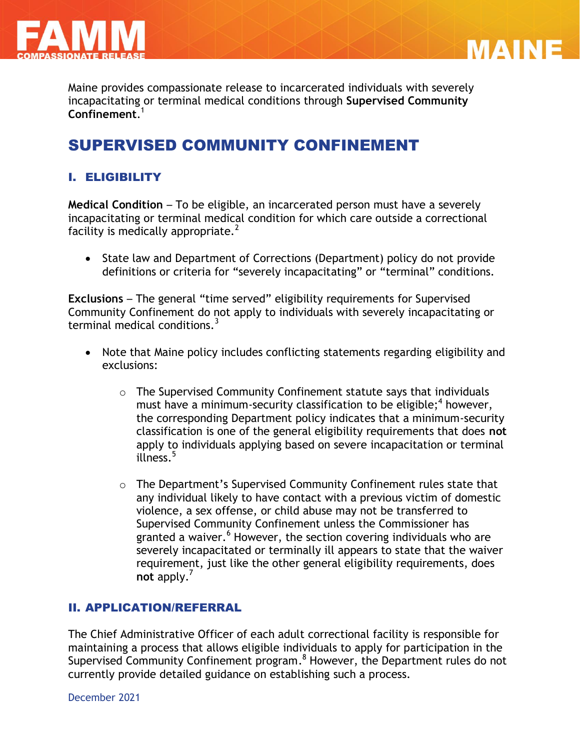



Maine provides compassionate release to incarcerated individuals with severely incapacitating or terminal medical conditions through **Supervised Community Confinement**. 1

# SUPERVISED COMMUNITY CONFINEMENT

# I. ELIGIBILITY

**Medical Condition** – To be eligible, an incarcerated person must have a severely incapacitating or terminal medical condition for which care outside a correctional facility is medically appropriate. $^{2}$ 

• State law and Department of Corrections (Department) policy do not provide definitions or criteria for "severely incapacitating" or "terminal" conditions.

**Exclusions** – The general "time served" eligibility requirements for Supervised Community Confinement do not apply to individuals with severely incapacitating or terminal medical conditions. $3$ 

- Note that Maine policy includes conflicting statements regarding eligibility and exclusions:
	- o The Supervised Community Confinement statute says that individuals must have a minimum-security classification to be eligible; 4 however, the corresponding Department policy indicates that a minimum-security classification is one of the general eligibility requirements that does **not** apply to individuals applying based on severe incapacitation or terminal illness.<sup>5</sup>
	- o The Department's Supervised Community Confinement rules state that any individual likely to have contact with a previous victim of domestic violence, a sex offense, or child abuse may not be transferred to Supervised Community Confinement unless the Commissioner has granted a waiver.<sup>6</sup> However, the section covering individuals who are severely incapacitated or terminally ill appears to state that the waiver requirement, just like the other general eligibility requirements, does **not** apply.'

#### II. APPLICATION/REFERRAL

The Chief Administrative Officer of each adult correctional facility is responsible for maintaining a process that allows eligible individuals to apply for participation in the Supervised Community Confinement program.<sup>8</sup> However, the Department rules do not currently provide detailed guidance on establishing such a process.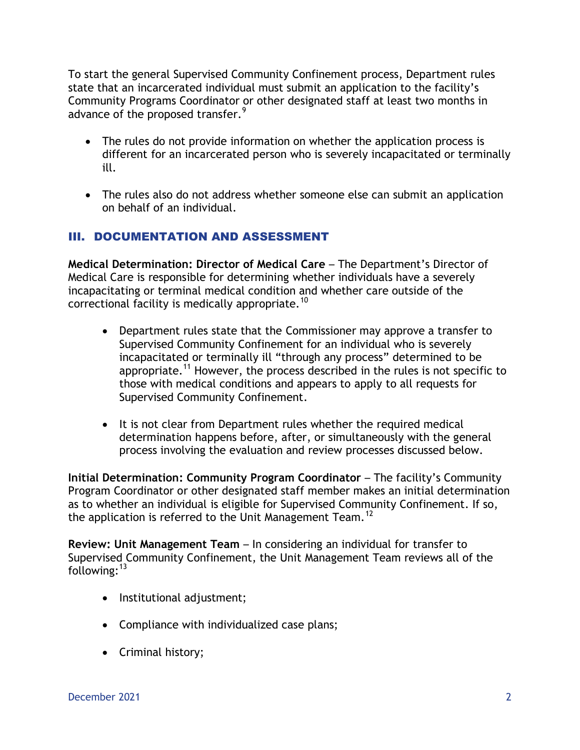To start the general Supervised Community Confinement process, Department rules state that an incarcerated individual must submit an application to the facility's Community Programs Coordinator or other designated staff at least two months in advance of the proposed transfer.<sup>9</sup>

- The rules do not provide information on whether the application process is different for an incarcerated person who is severely incapacitated or terminally ill.
- The rules also do not address whether someone else can submit an application on behalf of an individual.

## III. DOCUMENTATION AND ASSESSMENT

**Medical Determination: Director of Medical Care** – The Department's Director of Medical Care is responsible for determining whether individuals have a severely incapacitating or terminal medical condition and whether care outside of the correctional facility is medically appropriate.<sup>10</sup>

- Department rules state that the Commissioner may approve a transfer to Supervised Community Confinement for an individual who is severely incapacitated or terminally ill "through any process" determined to be appropriate.<sup>11</sup> However, the process described in the rules is not specific to those with medical conditions and appears to apply to all requests for Supervised Community Confinement.
- It is not clear from Department rules whether the required medical determination happens before, after, or simultaneously with the general process involving the evaluation and review processes discussed below.

**Initial Determination: Community Program Coordinator – The facility's Community** Program Coordinator or other designated staff member makes an initial determination as to whether an individual is eligible for Supervised Community Confinement. If so, the application is referred to the Unit Management Team.<sup>12</sup>

**Review: Unit Management Team** – In considering an individual for transfer to Supervised Community Confinement, the Unit Management Team reviews all of the following:<sup>13</sup>

- Institutional adjustment;
- Compliance with individualized case plans;
- Criminal history;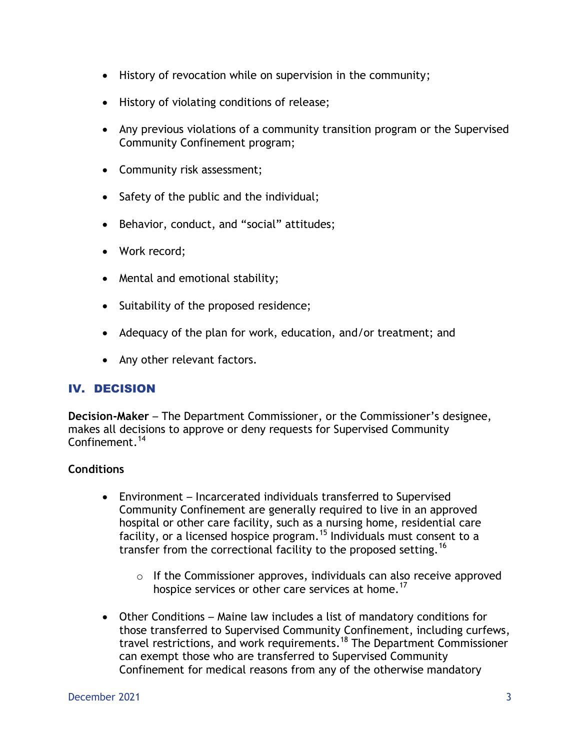- History of revocation while on supervision in the community;
- History of violating conditions of release;
- Any previous violations of a community transition program or the Supervised Community Confinement program;
- Community risk assessment;
- Safety of the public and the individual;
- Behavior, conduct, and "social" attitudes;
- Work record;
- Mental and emotional stability;
- Suitability of the proposed residence;
- Adequacy of the plan for work, education, and/or treatment; and
- Any other relevant factors.

#### IV. DECISION

**Decision-Maker** – The Department Commissioner, or the Commissioner's designee, makes all decisions to approve or deny requests for Supervised Community Confinement.<sup>14</sup>

#### **Conditions**

- Environment Incarcerated individuals transferred to Supervised Community Confinement are generally required to live in an approved hospital or other care facility, such as a nursing home, residential care facility, or a licensed hospice program.<sup>15</sup> Individuals must consent to a transfer from the correctional facility to the proposed setting.<sup>16</sup>
	- $\circ$  If the Commissioner approves, individuals can also receive approved hospice services or other care services at home.<sup>17</sup>
- Other Conditions Maine law includes a list of mandatory conditions for those transferred to Supervised Community Confinement, including curfews, travel restrictions, and work requirements.<sup>18</sup> The Department Commissioner can exempt those who are transferred to Supervised Community Confinement for medical reasons from any of the otherwise mandatory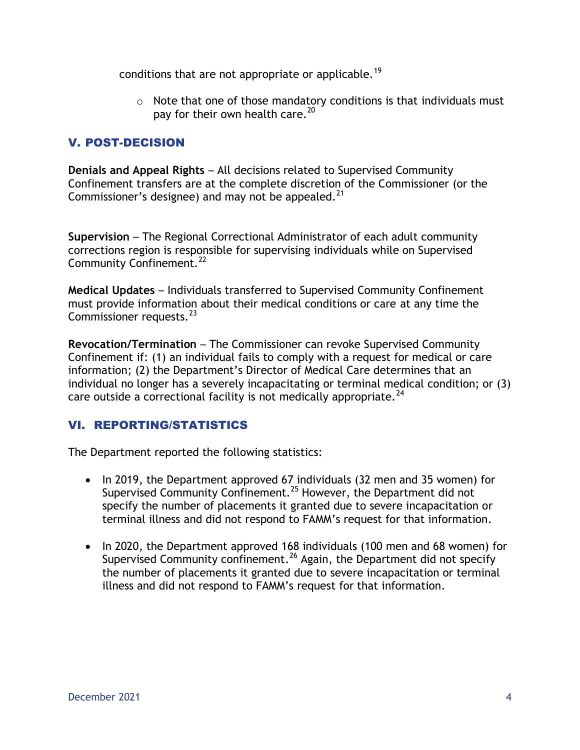conditions that are not appropriate or applicable.<sup>19</sup>

 $\circ$  Note that one of those mandatory conditions is that individuals must pay for their own health care.<sup>20</sup>

## V. POST-DECISION

**Denials and Appeal Rights** – All decisions related to Supervised Community Confinement transfers are at the complete discretion of the Commissioner (or the Commissioner's designee) and may not be appealed. $^{21}$ 

**Supervision** – The Regional Correctional Administrator of each adult community corrections region is responsible for supervising individuals while on Supervised Community Confinement.<sup>22</sup>

**Medical Updates** – Individuals transferred to Supervised Community Confinement must provide information about their medical conditions or care at any time the Commissioner requests.<sup>23</sup>

**Revocation/Termination** – The Commissioner can revoke Supervised Community Confinement if: (1) an individual fails to comply with a request for medical or care information; (2) the Department's Director of Medical Care determines that an individual no longer has a severely incapacitating or terminal medical condition; or (3) care outside a correctional facility is not medically appropriate.<sup>24</sup>

## VI. REPORTING/STATISTICS

The Department reported the following statistics:

- In 2019, the Department approved 67 individuals (32 men and 35 women) for Supervised Community Confinement.<sup>25</sup> However, the Department did not specify the number of placements it granted due to severe incapacitation or terminal illness and did not respond to FAMM's request for that information.
- In 2020, the Department approved 168 individuals (100 men and 68 women) for Supervised Community confinement.<sup>26</sup> Again, the Department did not specify the number of placements it granted due to severe incapacitation or terminal illness and did not respond to FAMM's request for that information.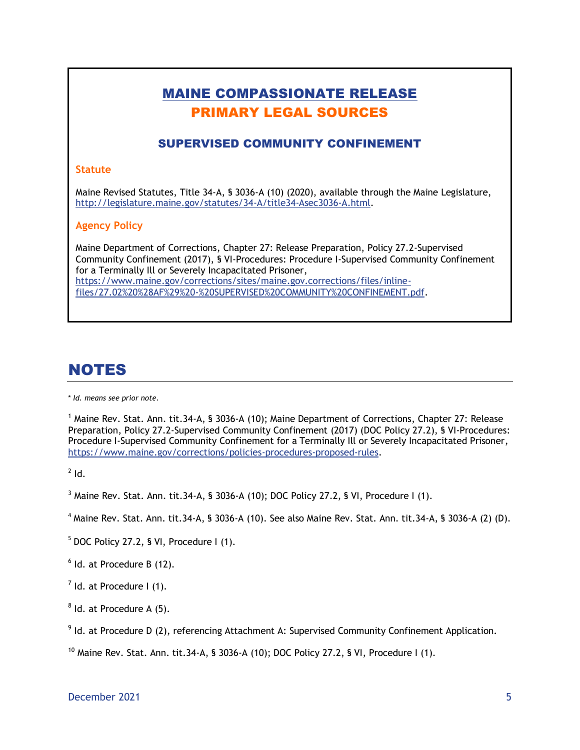# MAINE COMPASSIONATE RELEASE PRIMARY LEGAL SOURCES SUPERVISED COMMUNITY CONFINEMENT **Statute** Maine Revised Statutes, Title 34-A, § 3036-A (10) (2020), available through the Maine Legislature, [http://legislature.maine.gov/statutes/34-A/title34-Asec3036-A.html.](http://legislature.maine.gov/statutes/34-A/title34-Asec3036-A.html) **Agency Policy** Maine Department of Corrections, Chapter 27: Release Preparation, Policy 27.2-Supervised

Community Confinement (2017), § VI-Procedures: Procedure I-Supervised Community Confinement for a Terminally Ill or Severely Incapacitated Prisoner, [https://www.maine.gov/corrections/sites/maine.gov.corrections/files/inline](https://www.maine.gov/corrections/sites/maine.gov.corrections/files/inline-files/27.02%20%28AF%29%20-%20SUPERVISED%20COMMUNITY%20CONFINEMENT.pdf)[files/27.02%20%28AF%29%20-%20SUPERVISED%20COMMUNITY%20CONFINEMENT.pdf.](https://www.maine.gov/corrections/sites/maine.gov.corrections/files/inline-files/27.02%20%28AF%29%20-%20SUPERVISED%20COMMUNITY%20CONFINEMENT.pdf)

# NOTES

\* *Id. means see prior note.*

<sup>1</sup> Maine Rev. Stat. Ann. tit.34-A, § 3036-A (10); Maine Department of Corrections, Chapter 27: Release Preparation, Policy 27.2-Supervised Community Confinement (2017) (DOC Policy 27.2), § VI-Procedures: Procedure I-Supervised Community Confinement for a Terminally Ill or Severely Incapacitated Prisoner, https://www.maine.gov/corrections/policies-procedures-proposed-rules.

 $2$  Id.

 $3$  Maine Rev. Stat. Ann. tit. 34-A, § 3036-A (10); DOC Policy 27.2, § VI, Procedure I (1).

- $^4$  Maine Rev. Stat. Ann. tit.34-A, § 3036-A (10). See also Maine Rev. Stat. Ann. tit.34-A, § 3036-A (2) (D).
- $5$  DOC Policy 27.2, § VI, Procedure I (1).
- $<sup>6</sup>$  Id. at Procedure B (12).</sup>
- $<sup>7</sup>$  Id. at Procedure I (1).</sup>
- $8$  ld. at Procedure A (5).

 $9$  Id. at Procedure D (2), referencing Attachment A: Supervised Community Confinement Application.

<sup>10</sup> Maine Rev. Stat. Ann. tit.34-A, § 3036-A (10); DOC Policy 27.2, § VI, Procedure I (1).